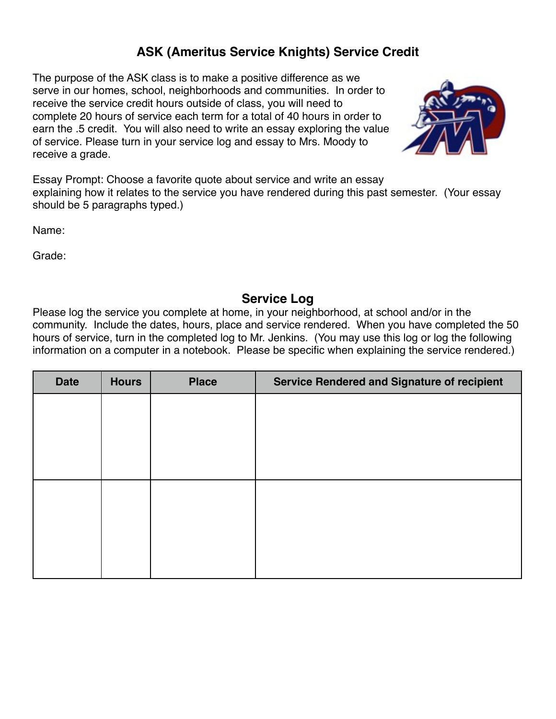## **ASK (Ameritus Service Knights) Service Credit**

The purpose of the ASK class is to make a positive difference as we serve in our homes, school, neighborhoods and communities. In order to receive the service credit hours outside of class, you will need to complete 20 hours of service each term for a total of 40 hours in order to earn the .5 credit. You will also need to write an essay exploring the value of service. Please turn in your service log and essay to Mrs. Moody to receive a grade.



Essay Prompt: Choose a favorite quote about service and write an essay explaining how it relates to the service you have rendered during this past semester. (Your essay should be 5 paragraphs typed.)

Name:

Grade:

## **Service Log**

Please log the service you complete at home, in your neighborhood, at school and/or in the community. Include the dates, hours, place and service rendered. When you have completed the 50 hours of service, turn in the completed log to Mr. Jenkins. (You may use this log or log the following information on a computer in a notebook. Please be specific when explaining the service rendered.)

| <b>Service Rendered and Signature of recipient</b> | <b>Place</b> | <b>Hours</b> | <b>Date</b> |
|----------------------------------------------------|--------------|--------------|-------------|
|                                                    |              |              |             |
|                                                    |              |              |             |
|                                                    |              |              |             |
|                                                    |              |              |             |
|                                                    |              |              |             |
|                                                    |              |              |             |
|                                                    |              |              |             |
|                                                    |              |              |             |
|                                                    |              |              |             |